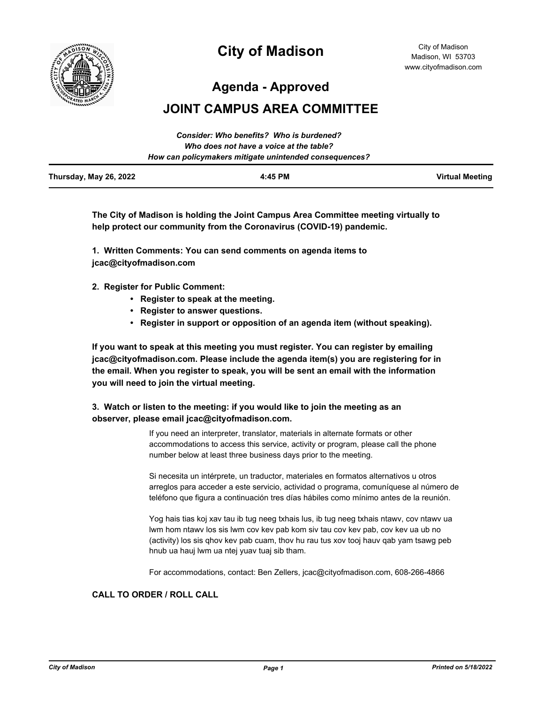

# **City of Madison**

City of Madison Madison, WI 53703 www.cityofmadison.com

**Agenda - Approved**

# **JOINT CAMPUS AREA COMMITTEE**

|                        | Consider: Who benefits? Who is burdened?               |                 |
|------------------------|--------------------------------------------------------|-----------------|
|                        | Who does not have a voice at the table?                |                 |
|                        | How can policymakers mitigate unintended consequences? |                 |
| Thursday, May 26, 2022 | 4:45 PM                                                | Virtual Meeting |

**The City of Madison is holding the Joint Campus Area Committee meeting virtually to help protect our community from the Coronavirus (COVID-19) pandemic.**

**1. Written Comments: You can send comments on agenda items to jcac@cityofmadison.com**

**2. Register for Public Comment:** 

- **Register to speak at the meeting.**
- **Register to answer questions.**
- **Register in support or opposition of an agenda item (without speaking).**

**If you want to speak at this meeting you must register. You can register by emailing jcac@cityofmadison.com. Please include the agenda item(s) you are registering for in the email. When you register to speak, you will be sent an email with the information you will need to join the virtual meeting.**

# **3. Watch or listen to the meeting: if you would like to join the meeting as an observer, please email jcac@cityofmadison.com.**

If you need an interpreter, translator, materials in alternate formats or other accommodations to access this service, activity or program, please call the phone number below at least three business days prior to the meeting.

Si necesita un intérprete, un traductor, materiales en formatos alternativos u otros arreglos para acceder a este servicio, actividad o programa, comuníquese al número de teléfono que figura a continuación tres días hábiles como mínimo antes de la reunión.

Yog hais tias koj xav tau ib tug neeg txhais lus, ib tug neeg txhais ntawv, cov ntawv ua lwm hom ntawv los sis lwm cov kev pab kom siv tau cov kev pab, cov kev ua ub no (activity) los sis qhov kev pab cuam, thov hu rau tus xov tooj hauv qab yam tsawg peb hnub ua hauj lwm ua ntej yuav tuaj sib tham.

For accommodations, contact: Ben Zellers, jcac@cityofmadison.com, 608-266-4866

# **CALL TO ORDER / ROLL CALL**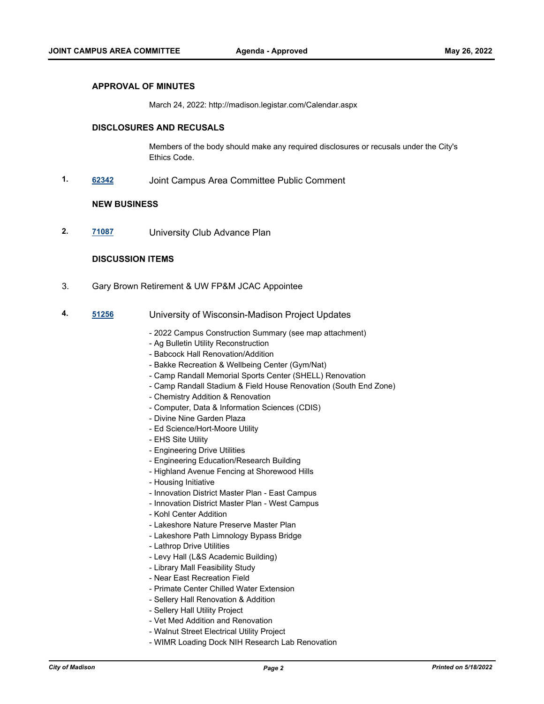#### **APPROVAL OF MINUTES**

March 24, 2022: http://madison.legistar.com/Calendar.aspx

### **DISCLOSURES AND RECUSALS**

Members of the body should make any required disclosures or recusals under the City's Ethics Code.

**1. [62342](http://madison.legistar.com/gateway.aspx?m=l&id=/matter.aspx?key=72968)** Joint Campus Area Committee Public Comment

#### **NEW BUSINESS**

**2. [71087](http://madison.legistar.com/gateway.aspx?m=l&id=/matter.aspx?key=83044)** University Club Advance Plan

# **DISCUSSION ITEMS**

- 3. Gary Brown Retirement & UW FP&M JCAC Appointee
- **4. [51256](http://madison.legistar.com/gateway.aspx?m=l&id=/matter.aspx?key=56981)** University of Wisconsin-Madison Project Updates
	- 2022 Campus Construction Summary (see map attachment)
	- Ag Bulletin Utility Reconstruction
	- Babcock Hall Renovation/Addition
	- Bakke Recreation & Wellbeing Center (Gym/Nat)
	- Camp Randall Memorial Sports Center (SHELL) Renovation
	- Camp Randall Stadium & Field House Renovation (South End Zone)
	- Chemistry Addition & Renovation
	- Computer, Data & Information Sciences (CDIS)
	- Divine Nine Garden Plaza
	- Ed Science/Hort-Moore Utility
	- EHS Site Utility
	- Engineering Drive Utilities
	- Engineering Education/Research Building
	- Highland Avenue Fencing at Shorewood Hills
	- Housing Initiative
	- Innovation District Master Plan East Campus
	- Innovation District Master Plan West Campus
	- Kohl Center Addition
	- Lakeshore Nature Preserve Master Plan
	- Lakeshore Path Limnology Bypass Bridge
	- Lathrop Drive Utilities
	- Levy Hall (L&S Academic Building)
	- Library Mall Feasibility Study
	- Near East Recreation Field
	- Primate Center Chilled Water Extension
	- Sellery Hall Renovation & Addition
	- Sellery Hall Utility Project
	- Vet Med Addition and Renovation
	- Walnut Street Electrical Utility Project
	- WIMR Loading Dock NIH Research Lab Renovation